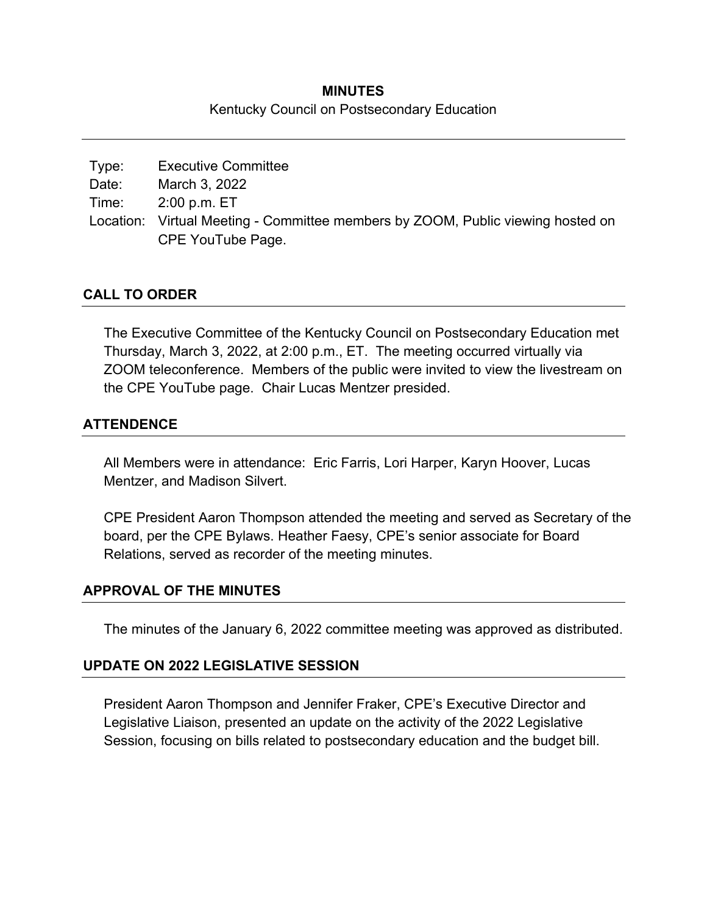## **MINUTES**  Kentucky Council on Postsecondary Education

| Type: | <b>Executive Committee</b>                                                      |
|-------|---------------------------------------------------------------------------------|
| Date: | March 3, 2022                                                                   |
| Time: | 2:00 p.m. ET                                                                    |
|       | Location: Virtual Meeting - Committee members by ZOOM, Public viewing hosted on |
|       | CPE YouTube Page.                                                               |

## **CALL TO ORDER**

The Executive Committee of the Kentucky Council on Postsecondary Education met Thursday, March 3, 2022, at 2:00 p.m., ET. The meeting occurred virtually via ZOOM teleconference. Members of the public were invited to view the livestream on the CPE YouTube page. Chair Lucas Mentzer presided.

### **ATTENDENCE**

All Members were in attendance: Eric Farris, Lori Harper, Karyn Hoover, Lucas Mentzer, and Madison Silvert.

CPE President Aaron Thompson attended the meeting and served as Secretary of the board, per the CPE Bylaws. Heather Faesy, CPE's senior associate for Board Relations, served as recorder of the meeting minutes.

#### **APPROVAL OF THE MINUTES**

The minutes of the January 6, 2022 committee meeting was approved as distributed.

#### **UPDATE ON 2022 LEGISLATIVE SESSION**

President Aaron Thompson and Jennifer Fraker, CPE's Executive Director and Legislative Liaison, presented an update on the activity of the 2022 Legislative Session, focusing on bills related to postsecondary education and the budget bill.